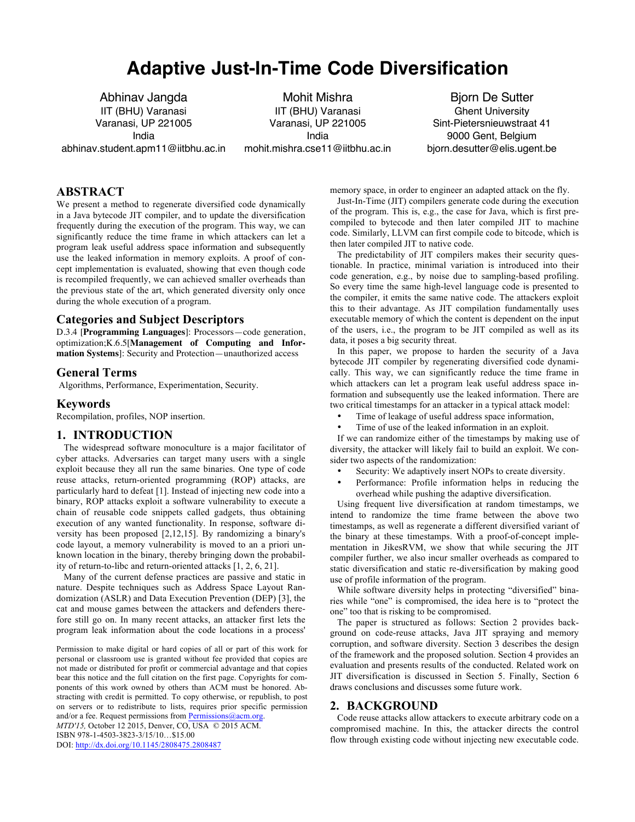# **Adaptive Just-In-Time Code Diversification**

Abhinav Jangda IIT (BHU) Varanasi Varanasi, UP 221005 India abhinav.student.apm11@iitbhu.ac.in

Mohit Mishra IIT (BHU) Varanasi Varanasi, UP 221005 India mohit.mishra.cse11@iitbhu.ac.in

Bjorn De Sutter Ghent University Sint-Pietersnieuwstraat 41 9000 Gent, Belgium bjorn.desutter@elis.ugent.be

# **ABSTRACT**

We present a method to regenerate diversified code dynamically in a Java bytecode JIT compiler, and to update the diversification frequently during the execution of the program. This way, we can significantly reduce the time frame in which attackers can let a program leak useful address space information and subsequently use the leaked information in memory exploits. A proof of concept implementation is evaluated, showing that even though code is recompiled frequently, we can achieved smaller overheads than the previous state of the art, which generated diversity only once during the whole execution of a program.

# **Categories and Subject Descriptors**

D.3.4 [**Programming Languages**]: Processors—code generation, optimization;K.6.5[**Management of Computing and Information Systems**]: Security and Protection—unauthorized access

# **General Terms**

Algorithms, Performance, Experimentation, Security.

## **Keywords**

Recompilation, profiles, NOP insertion.

# **1. INTRODUCTION**

The widespread software monoculture is a major facilitator of cyber attacks. Adversaries can target many users with a single exploit because they all run the same binaries. One type of code reuse attacks, return-oriented programming (ROP) attacks, are particularly hard to defeat [1]. Instead of injecting new code into a binary, ROP attacks exploit a software vulnerability to execute a chain of reusable code snippets called gadgets, thus obtaining execution of any wanted functionality. In response, software diversity has been proposed [2,12,15]. By randomizing a binary's code layout, a memory vulnerability is moved to an a priori unknown location in the binary, thereby bringing down the probability of return-to-libc and return-oriented attacks [1, 2, 6, 21].

Many of the current defense practices are passive and static in nature. Despite techniques such as Address Space Layout Randomization (ASLR) and Data Execution Prevention (DEP) [3], the cat and mouse games between the attackers and defenders therefore still go on. In many recent attacks, an attacker first lets the program leak information about the code locations in a process'

Permission to make digital or hard copies of all or part of this work for personal or classroom use is granted without fee provided that copies are not made or distributed for profit or commercial advantage and that copies bear this notice and the full citation on the first page. Copyrights for components of this work owned by others than ACM must be honored. Abstracting with credit is permitted. To copy otherwise, or republish, to post on servers or to redistribute to lists, requires prior specific permission and/or a fee. Request permissions from **Permissions@acm.org**.

*MTD'15,* October 12 2015, Denver, CO, USA © 2015 ACM. ISBN 978-1-4503-3823-3/15/10…\$15.00 DOI: http://dx.doi.org/10.1145/2808475.2808487

memory space, in order to engineer an adapted attack on the fly.

Just-In-Time (JIT) compilers generate code during the execution of the program. This is, e.g., the case for Java, which is first precompiled to bytecode and then later compiled JIT to machine code. Similarly, LLVM can first compile code to bitcode, which is then later compiled JIT to native code.

The predictability of JIT compilers makes their security questionable. In practice, minimal variation is introduced into their code generation, e.g., by noise due to sampling-based profiling. So every time the same high-level language code is presented to the compiler, it emits the same native code. The attackers exploit this to their advantage. As JIT compilation fundamentally uses executable memory of which the content is dependent on the input of the users, i.e., the program to be JIT compiled as well as its data, it poses a big security threat.

In this paper, we propose to harden the security of a Java bytecode JIT compiler by regenerating diversified code dynamically. This way, we can significantly reduce the time frame in which attackers can let a program leak useful address space information and subsequently use the leaked information. There are two critical timestamps for an attacker in a typical attack model:

- Time of leakage of useful address space information,
- Time of use of the leaked information in an exploit.

If we can randomize either of the timestamps by making use of diversity, the attacker will likely fail to build an exploit. We consider two aspects of the randomization:

- Security: We adaptively insert NOPs to create diversity.
- Performance: Profile information helps in reducing the overhead while pushing the adaptive diversification.

Using frequent live diversification at random timestamps, we intend to randomize the time frame between the above two timestamps, as well as regenerate a different diversified variant of the binary at these timestamps. With a proof-of-concept implementation in JikesRVM, we show that while securing the JIT compiler further, we also incur smaller overheads as compared to static diversification and static re-diversification by making good use of profile information of the program.

While software diversity helps in protecting "diversified" binaries while "one" is compromised, the idea here is to "protect the one" too that is risking to be compromised.

The paper is structured as follows: Section 2 provides background on code-reuse attacks, Java JIT spraying and memory corruption, and software diversity. Section 3 describes the design of the framework and the proposed solution. Section 4 provides an evaluation and presents results of the conducted. Related work on JIT diversification is discussed in Section 5. Finally, Section 6 draws conclusions and discusses some future work.

#### **2. BACKGROUND**

Code reuse attacks allow attackers to execute arbitrary code on a compromised machine. In this, the attacker directs the control flow through existing code without injecting new executable code.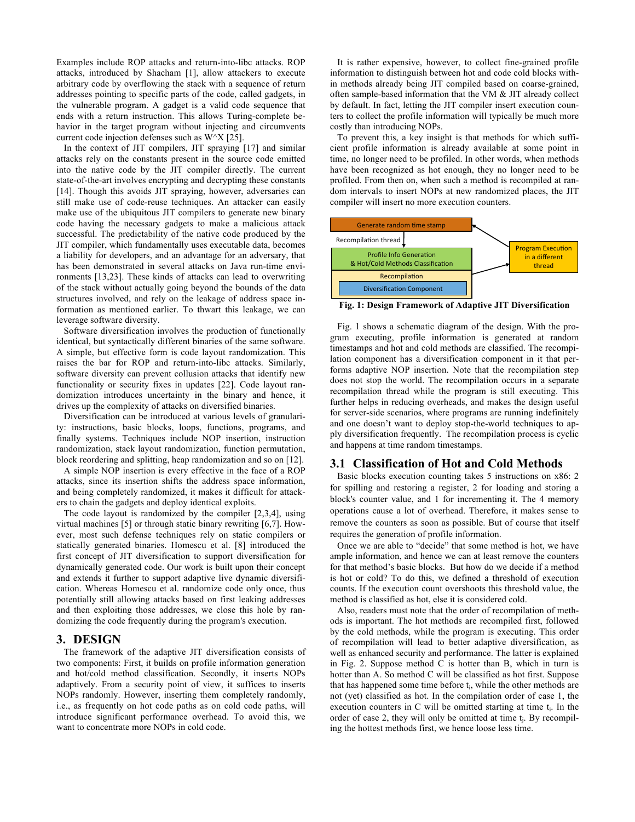Examples include ROP attacks and return-into-libc attacks. ROP attacks, introduced by Shacham [1], allow attackers to execute arbitrary code by overflowing the stack with a sequence of return addresses pointing to specific parts of the code, called gadgets, in the vulnerable program. A gadget is a valid code sequence that ends with a return instruction. This allows Turing-complete behavior in the target program without injecting and circumvents current code injection defenses such as W^X [25].

In the context of JIT compilers, JIT spraying [17] and similar attacks rely on the constants present in the source code emitted into the native code by the JIT compiler directly. The current state-of-the-art involves encrypting and decrypting these constants [14]. Though this avoids JIT spraying, however, adversaries can still make use of code-reuse techniques. An attacker can easily make use of the ubiquitous JIT compilers to generate new binary code having the necessary gadgets to make a malicious attack successful. The predictability of the native code produced by the JIT compiler, which fundamentally uses executable data, becomes a liability for developers, and an advantage for an adversary, that has been demonstrated in several attacks on Java run-time environments [13,23]. These kinds of attacks can lead to overwriting of the stack without actually going beyond the bounds of the data structures involved, and rely on the leakage of address space information as mentioned earlier. To thwart this leakage, we can leverage software diversity.

Software diversification involves the production of functionally identical, but syntactically different binaries of the same software. A simple, but effective form is code layout randomization. This raises the bar for ROP and return-into-libc attacks. Similarly, software diversity can prevent collusion attacks that identify new functionality or security fixes in updates [22]. Code layout randomization introduces uncertainty in the binary and hence, it drives up the complexity of attacks on diversified binaries.

Diversification can be introduced at various levels of granularity: instructions, basic blocks, loops, functions, programs, and finally systems. Techniques include NOP insertion, instruction randomization, stack layout randomization, function permutation, block reordering and splitting, heap randomization and so on [12].

A simple NOP insertion is every effective in the face of a ROP attacks, since its insertion shifts the address space information, and being completely randomized, it makes it difficult for attackers to chain the gadgets and deploy identical exploits.

The code layout is randomized by the compiler [2,3,4], using virtual machines [5] or through static binary rewriting [6,7]. However, most such defense techniques rely on static compilers or statically generated binaries. Homescu et al. [8] introduced the first concept of JIT diversification to support diversification for dynamically generated code. Our work is built upon their concept and extends it further to support adaptive live dynamic diversification. Whereas Homescu et al. randomize code only once, thus potentially still allowing attacks based on first leaking addresses and then exploiting those addresses, we close this hole by randomizing the code frequently during the program's execution.

# **3. DESIGN**

The framework of the adaptive JIT diversification consists of two components: First, it builds on profile information generation and hot/cold method classification. Secondly, it inserts NOPs adaptively. From a security point of view, it suffices to inserts NOPs randomly. However, inserting them completely randomly, i.e., as frequently on hot code paths as on cold code paths, will introduce significant performance overhead. To avoid this, we want to concentrate more NOPs in cold code.

It is rather expensive, however, to collect fine-grained profile information to distinguish between hot and code cold blocks within methods already being JIT compiled based on coarse-grained, often sample-based information that the VM & JIT already collect by default. In fact, letting the JIT compiler insert execution counters to collect the profile information will typically be much more costly than introducing NOPs.

To prevent this, a key insight is that methods for which sufficient profile information is already available at some point in time, no longer need to be profiled. In other words, when methods have been recognized as hot enough, they no longer need to be profiled. From then on, when such a method is recompiled at random intervals to insert NOPs at new randomized places, the JIT compiler will insert no more execution counters.



**Fig. 1: Design Framework of Adaptive JIT Diversification**

Fig. 1 shows a schematic diagram of the design. With the program executing, profile information is generated at random timestamps and hot and cold methods are classified. The recompilation component has a diversification component in it that performs adaptive NOP insertion. Note that the recompilation step does not stop the world. The recompilation occurs in a separate recompilation thread while the program is still executing. This further helps in reducing overheads, and makes the design useful for server-side scenarios, where programs are running indefinitely and one doesn't want to deploy stop-the-world techniques to apply diversification frequently. The recompilation process is cyclic and happens at time random timestamps.

## **3.1 Classification of Hot and Cold Methods**

Basic blocks execution counting takes 5 instructions on x86: 2 for spilling and restoring a register, 2 for loading and storing a block's counter value, and 1 for incrementing it. The 4 memory operations cause a lot of overhead. Therefore, it makes sense to remove the counters as soon as possible. But of course that itself requires the generation of profile information.

Once we are able to "decide" that some method is hot, we have ample information, and hence we can at least remove the counters for that method's basic blocks. But how do we decide if a method is hot or cold? To do this, we defined a threshold of execution counts. If the execution count overshoots this threshold value, the method is classified as hot, else it is considered cold.

Also, readers must note that the order of recompilation of methods is important. The hot methods are recompiled first, followed by the cold methods, while the program is executing. This order of recompilation will lead to better adaptive diversification, as well as enhanced security and performance. The latter is explained in Fig. 2. Suppose method C is hotter than B, which in turn is hotter than A. So method C will be classified as hot first. Suppose that has happened some time before  $t_i$ , while the other methods are not (yet) classified as hot. In the compilation order of case 1, the execution counters in  $C$  will be omitted starting at time  $t_i$ . In the order of case 2, they will only be omitted at time  $t_i$ . By recompiling the hottest methods first, we hence loose less time.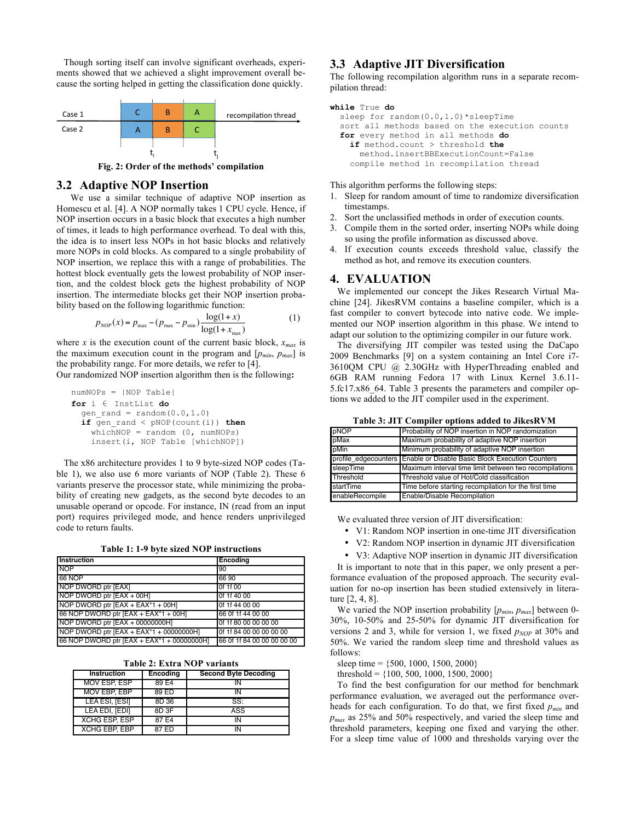Though sorting itself can involve significant overheads, experiments showed that we achieved a slight improvement overall because the sorting helped in getting the classification done quickly.



**Fig. 2: Order of the methods' compilation** 

## **3.2 Adaptive NOP Insertion**

 We use a similar technique of adaptive NOP insertion as Homescu et al. [4]. A NOP normally takes 1 CPU cycle. Hence, if NOP insertion occurs in a basic block that executes a high number of times, it leads to high performance overhead. To deal with this, the idea is to insert less NOPs in hot basic blocks and relatively more NOPs in cold blocks. As compared to a single probability of NOP insertion, we replace this with a range of probabilities. The hottest block eventually gets the lowest probability of NOP insertion, and the coldest block gets the highest probability of NOP insertion. The intermediate blocks get their NOP insertion probability based on the following logarithmic function:

$$
p_{\text{NOP}}(x) = p_{\text{max}} - (p_{\text{max}} - p_{\text{min}}) \frac{\log(1+x)}{\log(1+x_{\text{max}})} \tag{1}
$$

where *x* is the execution count of the current basic block,  $x_{max}$  is the maximum execution count in the program and  $[p_{min}, p_{max}]$  is the probability range. For more details, we refer to [4]. Our randomized NOP insertion algorithm then is the following**:**

```
numNOPs = |NOP Table|
for i ∈ InstList do
  gen rand = random(0.0,1.0)\overline{\textbf{if}} gen rand < pNOP(count(i)) then
     which \overline{NOP} = random (0, num \overline{NOPs}) insert(i, NOP Table [whichNOP])
```
The x86 architecture provides 1 to 9 byte-sized NOP codes (Table 1), we also use 6 more variants of NOP (Table 2). These 6 variants preserve the processor state, while minimizing the probability of creating new gadgets, as the second byte decodes to an unusable operand or opcode. For instance, IN (read from an input port) requires privileged mode, and hence renders unprivileged code to return faults.

**Table 1: 1-9 byte sized NOP instructions** 

| <b>Instruction</b>                         | <b>Encoding</b>            |
|--------------------------------------------|----------------------------|
| <b>NOP</b>                                 | 90                         |
| 66 NOP                                     | 66 90                      |
| NOP DWORD ptr [EAX]                        | 0f 1f 00                   |
| NOP DWORD ptr [EAX + 00H]                  | 0f 1f 40 00                |
| NOP DWORD ptr $[EAX + EAX^*1 + 00H]$       | 0f 1f 44 00 00             |
| 66 NOP DWORD ptr $[EAX + EAX^*1 + 00H]$    | 66 Of 1f 44 00 00          |
| NOP DWORD ptr $[EAX + 00000000H]$          | 0f 1f 80 00 00 00 00       |
| NOP DWORD ptr $[EAX + EAX^*1 + 00000000H]$ | 0f 1f 84 00 00 00 00 00    |
| 66 NOP DWORD ptr [EAX + EAX*1 + 00000000H] | 66 0f 1f 84 00 00 00 00 00 |

**Table 2: Extra NOP variants**

| <b>Instruction</b>   | Encoding | <b>Second Byte Decoding</b> |
|----------------------|----------|-----------------------------|
| MOV ESP, ESP         | 89 E4    |                             |
| MOV EBP, EBP         | 89 ED    | ΙN                          |
| LEA ESI, [ESI]       | 8D 36    | SS:                         |
| LEA EDI, [EDI]       | 8D 3F    | ASS                         |
| <b>XCHG ESP, ESP</b> | 87 E4    | ΙN                          |
| <b>XCHG EBP, EBP</b> |          |                             |

# **3.3 Adaptive JIT Diversification**

The following recompilation algorithm runs in a separate recompilation thread:

```
while True do
  sleep for random(0.0,1.0)*sleepTime
   sort all methods based on the execution counts 
  for every method in all methods do
     if method.count > threshold the
       method.insertBBExecutionCount=False
     compile method in recompilation thread
```
This algorithm performs the following steps:

- 1. Sleep for random amount of time to randomize diversification timestamps.
- 2. Sort the unclassified methods in order of execution counts.
- 3. Compile them in the sorted order, inserting NOPs while doing so using the profile information as discussed above.
- 4. If execution counts exceeds threshold value, classify the method as hot, and remove its execution counters.

## **4. EVALUATION**

We implemented our concept the Jikes Research Virtual Machine [24]. JikesRVM contains a baseline compiler, which is a fast compiler to convert bytecode into native code. We implemented our NOP insertion algorithm in this phase. We intend to adapt our solution to the optimizing compiler in our future work.

The diversifying JIT compiler was tested using the DaCapo 2009 Benchmarks [9] on a system containing an Intel Core i7- 3610QM CPU @ 2.30GHz with HyperThreading enabled and 6GB RAM running Fedora 17 with Linux Kernel 3.6.11- 5.fc17.x86\_64. Table 3 presents the parameters and compiler options we added to the JIT compiler used in the experiment.

**Table 3: JIT Compiler options added to JikesRVM**

| pNOP            | Probability of NOP insertion in NOP randomization                     |
|-----------------|-----------------------------------------------------------------------|
| pMax            | Maximum probability of adaptive NOP insertion                         |
| pMin            | Minimum probability of adaptive NOP insertion                         |
|                 | profile edgecounters Enable or Disable Basic Block Execution Counters |
| sleepTime       | Maximum interval time limit between two recompilations                |
| Threshold       | Threshold value of Hot/Cold classification                            |
| startTime       | Time before starting recompilation for the first time                 |
| enableRecompile | Enable/Disable Recompilation                                          |

We evaluated three version of JIT diversification:

- V1: Random NOP insertion in one-time JIT diversification
- V2: Random NOP insertion in dynamic JIT diversification
- V3: Adaptive NOP insertion in dynamic JIT diversification

It is important to note that in this paper, we only present a performance evaluation of the proposed approach. The security evaluation for no-op insertion has been studied extensively in literature [2, 4, 8].

We varied the NOP insertion probability  $[p_{min}, p_{max}]$  between 0-30%, 10-50% and 25-50% for dynamic JIT diversification for versions 2 and 3, while for version 1, we fixed  $p_{NOP}$  at 30% and 50%. We varied the random sleep time and threshold values as follows:

sleep time =  $\{500, 1000, 1500, 2000\}$ 

threshold =  $\{100, 500, 1000, 1500, 2000\}$ 

To find the best configuration for our method for benchmark performance evaluation, we averaged out the performance overheads for each configuration. To do that, we first fixed  $p_{min}$  and *pmax* as 25% and 50% respectively, and varied the sleep time and threshold parameters, keeping one fixed and varying the other. For a sleep time value of 1000 and thresholds varying over the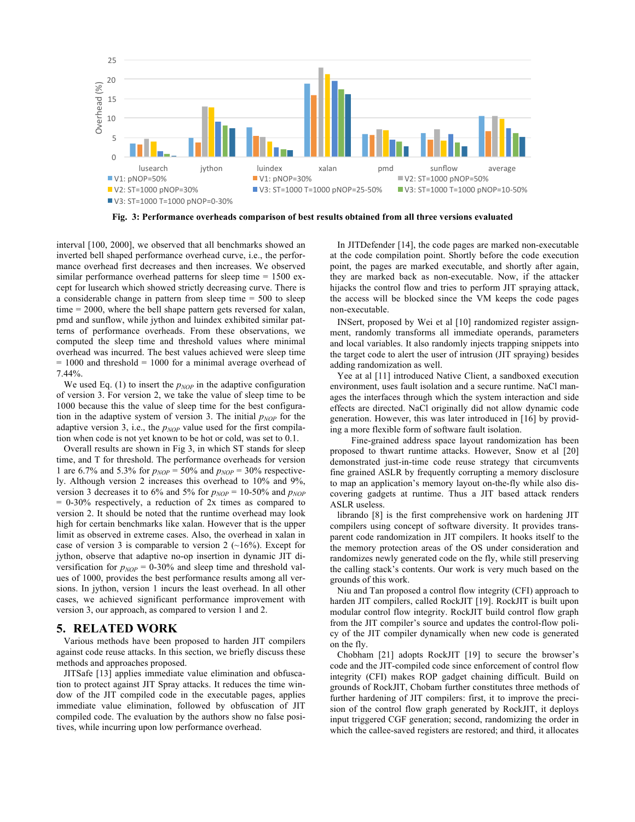

**Fig. 3: Performance overheads comparison of best results obtained from all three versions evaluated**

interval [100, 2000], we observed that all benchmarks showed an inverted bell shaped performance overhead curve, i.e., the performance overhead first decreases and then increases. We observed similar performance overhead patterns for sleep time = 1500 except for lusearch which showed strictly decreasing curve. There is a considerable change in pattern from sleep time = 500 to sleep time = 2000, where the bell shape pattern gets reversed for xalan, pmd and sunflow, while jython and luindex exhibited similar patterns of performance overheads. From these observations, we computed the sleep time and threshold values where minimal overhead was incurred. The best values achieved were sleep time  $= 1000$  and threshold  $= 1000$  for a minimal average overhead of 7.44%.

We used Eq. (1) to insert the  $p_{NOP}$  in the adaptive configuration of version 3. For version 2, we take the value of sleep time to be 1000 because this the value of sleep time for the best configuration in the adaptive system of version 3. The initial  $p_{NOP}$  for the adaptive version 3, i.e., the  $p_{NOP}$  value used for the first compilation when code is not yet known to be hot or cold, was set to 0.1.

Overall results are shown in Fig 3, in which ST stands for sleep time, and T for threshold. The performance overheads for version 1 are 6.7% and 5.3% for  $p_{NOP} = 50\%$  and  $p_{NOP} = 30\%$  respectively. Although version 2 increases this overhead to 10% and 9%, version 3 decreases it to 6% and 5% for  $p_{NOP}$  = 10-50% and  $p_{NOP}$ = 0-30% respectively, a reduction of 2x times as compared to version 2. It should be noted that the runtime overhead may look high for certain benchmarks like xalan. However that is the upper limit as observed in extreme cases. Also, the overhead in xalan in case of version 3 is comparable to version 2  $(\sim 16\%)$ . Except for jython, observe that adaptive no-op insertion in dynamic JIT diversification for  $p_{NOP}$  = 0-30% and sleep time and threshold values of 1000, provides the best performance results among all versions. In jython, version 1 incurs the least overhead. In all other cases, we achieved significant performance improvement with version 3, our approach, as compared to version 1 and 2.

## **5. RELATED WORK**

Various methods have been proposed to harden JIT compilers against code reuse attacks. In this section, we briefly discuss these methods and approaches proposed.

JITSafe [13] applies immediate value elimination and obfuscation to protect against JIT Spray attacks. It reduces the time window of the JIT compiled code in the executable pages, applies immediate value elimination, followed by obfuscation of JIT compiled code. The evaluation by the authors show no false positives, while incurring upon low performance overhead.

In JITDefender [14], the code pages are marked non-executable at the code compilation point. Shortly before the code execution point, the pages are marked executable, and shortly after again, they are marked back as non-executable. Now, if the attacker hijacks the control flow and tries to perform JIT spraying attack, the access will be blocked since the VM keeps the code pages non-executable.

INSert, proposed by Wei et al [10] randomized register assignment, randomly transforms all immediate operands, parameters and local variables. It also randomly injects trapping snippets into the target code to alert the user of intrusion (JIT spraying) besides adding randomization as well.

Yee at al [11] introduced Native Client, a sandboxed execution environment, uses fault isolation and a secure runtime. NaCl manages the interfaces through which the system interaction and side effects are directed. NaCl originally did not allow dynamic code generation. However, this was later introduced in [16] by providing a more flexible form of software fault isolation.

 Fine-grained address space layout randomization has been proposed to thwart runtime attacks. However, Snow et al [20] demonstrated just-in-time code reuse strategy that circumvents fine grained ASLR by frequently corrupting a memory disclosure to map an application's memory layout on-the-fly while also discovering gadgets at runtime. Thus a JIT based attack renders ASLR useless.

librando [8] is the first comprehensive work on hardening JIT compilers using concept of software diversity. It provides transparent code randomization in JIT compilers. It hooks itself to the the memory protection areas of the OS under consideration and randomizes newly generated code on the fly, while still preserving the calling stack's contents. Our work is very much based on the grounds of this work.

Niu and Tan proposed a control flow integrity (CFI) approach to harden JIT compilers, called RockJIT [19]. RockJIT is built upon modular control flow integrity. RockJIT build control flow graph from the JIT compiler's source and updates the control-flow policy of the JIT compiler dynamically when new code is generated on the fly.

Chobham [21] adopts RockJIT [19] to secure the browser's code and the JIT-compiled code since enforcement of control flow integrity (CFI) makes ROP gadget chaining difficult. Build on grounds of RockJIT, Chobam further constitutes three methods of further hardening of JIT compilers: first, it to improve the precision of the control flow graph generated by RockJIT, it deploys input triggered CGF generation; second, randomizing the order in which the callee-saved registers are restored; and third, it allocates